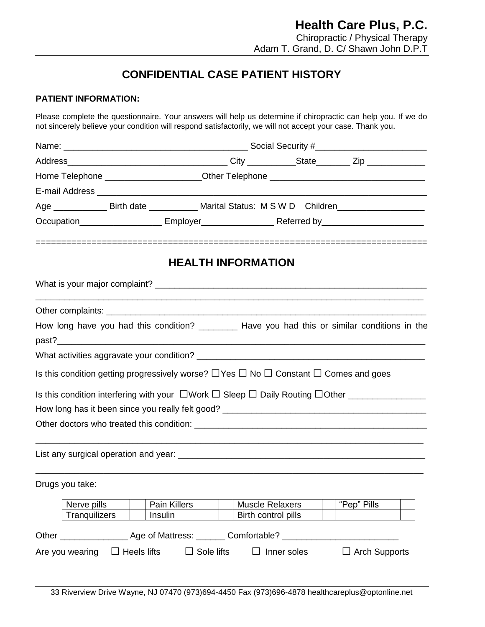## **CONFIDENTIAL CASE PATIENT HISTORY**

### **PATIENT INFORMATION:**

Please complete the questionnaire. Your answers will help us determine if chiropractic can help you. If we do not sincerely believe your condition will respond satisfactorily, we will not accept your case. Thank you.

| Home Telephone ______________________Other Telephone ___________________________                          |                    |                   |                           |                        |                      |  |
|-----------------------------------------------------------------------------------------------------------|--------------------|-------------------|---------------------------|------------------------|----------------------|--|
|                                                                                                           |                    |                   |                           |                        |                      |  |
| Age _______________ Birth date _____________ Marital Status: M S W D Children______________________       |                    |                   |                           |                        |                      |  |
|                                                                                                           |                    |                   |                           |                        |                      |  |
|                                                                                                           |                    |                   | <b>HEALTH INFORMATION</b> |                        |                      |  |
|                                                                                                           |                    |                   |                           |                        |                      |  |
|                                                                                                           |                    |                   |                           |                        |                      |  |
| How long have you had this condition? __________ Have you had this or similar conditions in the           |                    |                   |                           |                        |                      |  |
|                                                                                                           |                    |                   |                           |                        |                      |  |
|                                                                                                           |                    |                   |                           |                        |                      |  |
| Is this condition getting progressively worse? $\Box$ Yes $\Box$ No $\Box$ Constant $\Box$ Comes and goes |                    |                   |                           |                        |                      |  |
|                                                                                                           |                    |                   |                           |                        |                      |  |
|                                                                                                           |                    |                   |                           |                        |                      |  |
|                                                                                                           |                    |                   |                           |                        |                      |  |
|                                                                                                           |                    |                   |                           |                        |                      |  |
|                                                                                                           |                    |                   |                           |                        |                      |  |
| Drugs you take:                                                                                           |                    |                   |                           |                        |                      |  |
| Nerve pills                                                                                               |                    | Pain Killers      |                           | <b>Muscle Relaxers</b> | "Pep" Pills          |  |
| Tranquilizers                                                                                             |                    | Insulin           |                           | Birth control pills    |                      |  |
| Other _____________________ Age of Mattress: ________ Comfortable? ______                                 |                    |                   |                           |                        |                      |  |
|                                                                                                           |                    |                   |                           |                        |                      |  |
| Are you wearing                                                                                           | $\Box$ Heels lifts | $\Box$ Sole lifts |                           | Inner soles            | $\Box$ Arch Supports |  |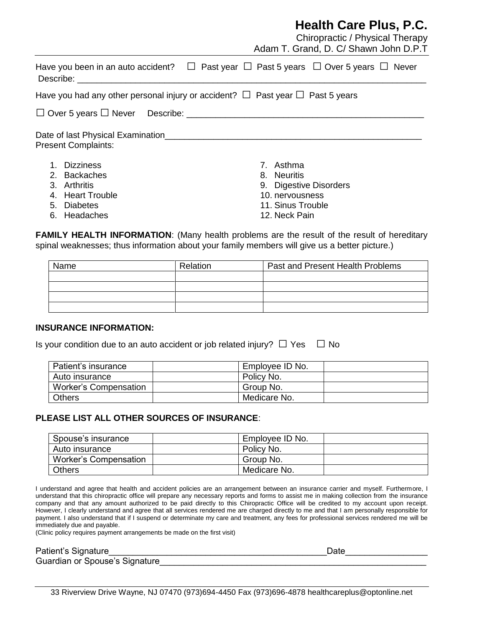## **Health Care Plus, P.C.**

|                                                                                                                                                                                                                                                                                                                                                                         | Chiropractic / Physical Therapy<br>Adam T. Grand, D. C/ Shawn John D.P.T |
|-------------------------------------------------------------------------------------------------------------------------------------------------------------------------------------------------------------------------------------------------------------------------------------------------------------------------------------------------------------------------|--------------------------------------------------------------------------|
| Have you been in an auto accident? $\quad \Box \;$ Past year $\quad \Box \;$ Past 5 years $\; \Box \;$ Over 5 years $\; \Box \;$ Never<br>Describe: the contract of the contract of the contract of the contract of the contract of the contract of the contract of the contract of the contract of the contract of the contract of the contract of the contract of the |                                                                          |
| Have you had any other personal injury or accident? $\Box$ Past year $\Box$ Past 5 years                                                                                                                                                                                                                                                                                |                                                                          |
|                                                                                                                                                                                                                                                                                                                                                                         |                                                                          |
| <b>Present Complaints:</b>                                                                                                                                                                                                                                                                                                                                              |                                                                          |
| 1. Dizziness                                                                                                                                                                                                                                                                                                                                                            | 7. Asthma                                                                |
| 2. Backaches                                                                                                                                                                                                                                                                                                                                                            | 8. Neuritis                                                              |
| 3. Arthritis                                                                                                                                                                                                                                                                                                                                                            | 9. Digestive Disorders                                                   |
| 4. Heart Trouble                                                                                                                                                                                                                                                                                                                                                        | 10. nervousness                                                          |
| 5. Diabetes                                                                                                                                                                                                                                                                                                                                                             | 11. Sinus Trouble                                                        |

**FAMILY HEALTH INFORMATION:** (Many health problems are the result of the result of hereditary spinal weaknesses; thus information about your family members will give us a better picture.)

| Name | Relation | Past and Present Health Problems |
|------|----------|----------------------------------|
|      |          |                                  |
|      |          |                                  |
|      |          |                                  |
|      |          |                                  |

12. Neck Pain

### **INSURANCE INFORMATION:**

6. Headaches

Is your condition due to an auto accident or job related injury?  $\Box$  Yes  $\Box$  No

| Patient's insurance   | Employee ID No. |
|-----------------------|-----------------|
| Auto insurance        | Policy No.      |
| Worker's Compensation | Group No.       |
| <b>Others</b>         | Medicare No.    |

### **PLEASE LIST ALL OTHER SOURCES OF INSURANCE**:

| Spouse's insurance           | Employee ID No. |  |
|------------------------------|-----------------|--|
| Auto insurance               | Policy No.      |  |
| <b>Worker's Compensation</b> | Group No.       |  |
| <b>Others</b>                | Medicare No.    |  |

I understand and agree that health and accident policies are an arrangement between an insurance carrier and myself. Furthermore, I understand that this chiropractic office will prepare any necessary reports and forms to assist me in making collection from the insurance company and that any amount authorized to be paid directly to this Chiropractic Office will be credited to my account upon receipt. However, I clearly understand and agree that all services rendered me are charged directly to me and that I am personally responsible for payment. I also understand that if I suspend or determinate my care and treatment, any fees for professional services rendered me will be immediately due and payable.

(Clinic policy requires payment arrangements be made on the first visit)

Patient's Signature et al. Allen the state of the state of the state of the state of the state of the state of the state of the state of the state of the state of the state of the state of the state of the state of the sta

Guardian or Spouse's Signature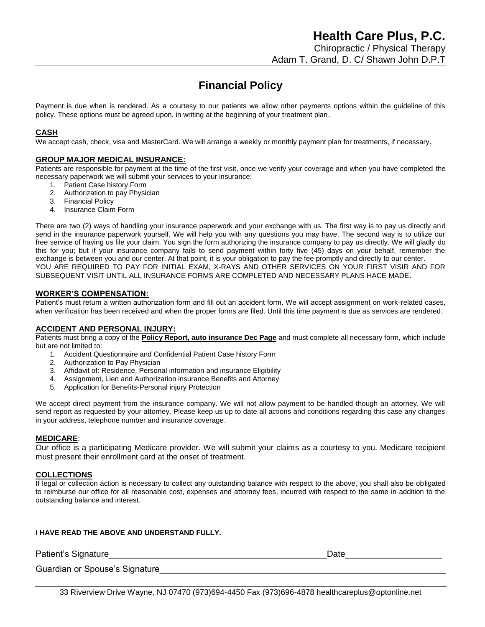## **Financial Policy**

Payment is due when is rendered. As a courtesy to our patients we allow other payments options within the guideline of this policy. These options must be agreed upon, in writing at the beginning of your treatment plan.

#### **CASH**

We accept cash, check, visa and MasterCard. We will arrange a weekly or monthly payment plan for treatments, if necessary.

#### **GROUP MAJOR MEDICAL INSURANCE:**

Patients are responsible for payment at the time of the first visit, once we verify your coverage and when you have completed the necessary paperwork we will submit your services to your insurance:

- 1. Patient Case history Form
- 2. Authorization to pay Physician
- 3. Financial Policy
- 4. Insurance Claim Form

There are two (2) ways of handling your insurance paperwork and your exchange with us. The first way is to pay us directly and send in the insurance paperwork yourself. We will help you with any questions you may have. The second way is to utilize our free service of having us file your claim. You sign the form authorizing the insurance company to pay us directly. We will gladly do this for you; but if your insurance company fails to send payment within forty five (45) days on your behalf, remember the exchange is between you and our center. At that point, it is your obligation to pay the fee promptly and directly to our center. YOU ARE REQUIRED TO PAY FOR INITIAL EXAM, X-RAYS AND OTHER SERVICES ON YOUR FIRST VISIR AND FOR SUBSEQUENT VISIT UNTIL ALL INSURANCE FORMS ARE COMPLETED AND NECESSARY PLANS HACE MADE.

#### **WORKER'S COMPENSATION:**

Patient's must return a written authorization form and fill out an accident form. We will accept assignment on work-related cases, when verification has been received and when the proper forms are filed. Until this time payment is due as services are rendered.

#### **ACCIDENT AND PERSONAL INJURY:**

Patients must bring a copy of the **Policy Report, auto insurance Dec Page** and must complete all necessary form, which include but are not limited to:

- 1. Accident Questionnaire and Confidential Patient Case history Form
- 2. Authorization to Pay Physician
- 3. Affidavit of: Residence, Personal information and insurance Eligibility
- 4. Assignment, Lien and Authorization insurance Benefits and Attorney
- 5. Application for Benefits-Personal injury Protection

We accept direct payment from the insurance company. We will not allow payment to be handled though an attorney. We will send report as requested by your attorney. Please keep us up to date all actions and conditions regarding this case any changes in your address, telephone number and insurance coverage.

#### **MEDICARE**:

Our office is a participating Medicare provider. We will submit your claims as a courtesy to you. Medicare recipient must present their enrollment card at the onset of treatment.

#### **COLLECTIONS**

If legal or collection action is necessary to collect any outstanding balance with respect to the above, you shall also be obligated to reimburse our office for all reasonable cost, expenses and attorney fees, incurred with respect to the same in addition to the outstanding balance and interest.

#### **I HAVE READ THE ABOVE AND UNDERSTAND FULLY.**

Patient's Signature **Example 20 and 20 and 20 and 20 and 20 and 20 and 20 and 20 and 20 and 20 and 20 and 20 and 20 and 20 and 20 and 20 and 20 and 20 and 20 and 20 and 20 and 20 and 20 and 20 and 20 and 20 and 20 and 20 a** 

Guardian or Spouse's Signature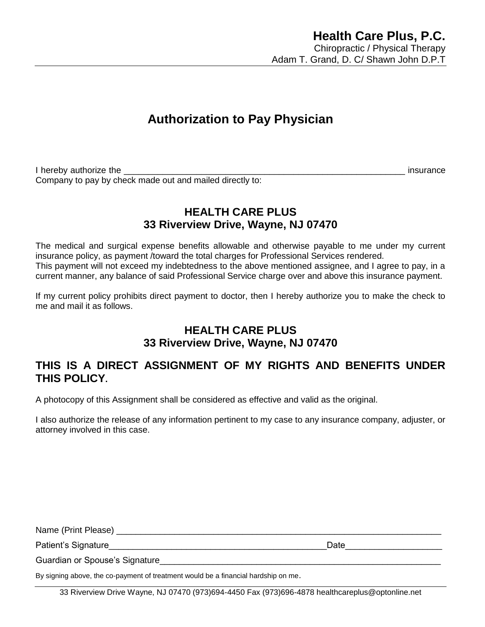# **Authorization to Pay Physician**

I hereby authorize the **EXECUTE:**  $\blacksquare$  insurance Company to pay by check made out and mailed directly to:

### **HEALTH CARE PLUS 33 Riverview Drive, Wayne, NJ 07470**

The medical and surgical expense benefits allowable and otherwise payable to me under my current insurance policy, as payment /toward the total charges for Professional Services rendered. This payment will not exceed my indebtedness to the above mentioned assignee, and I agree to pay, in a current manner, any balance of said Professional Service charge over and above this insurance payment.

If my current policy prohibits direct payment to doctor, then I hereby authorize you to make the check to me and mail it as follows.

### **HEALTH CARE PLUS 33 Riverview Drive, Wayne, NJ 07470**

### **THIS IS A DIRECT ASSIGNMENT OF MY RIGHTS AND BENEFITS UNDER THIS POLICY.**

A photocopy of this Assignment shall be considered as effective and valid as the original.

I also authorize the release of any information pertinent to my case to any insurance company, adjuster, or attorney involved in this case.

| Name (Print Please)            |      |
|--------------------------------|------|
| Patient's Signature            | Date |
| Guardian or Spouse's Signature |      |
|                                |      |

By signing above, the co-payment of treatment would be a financial hardship on me.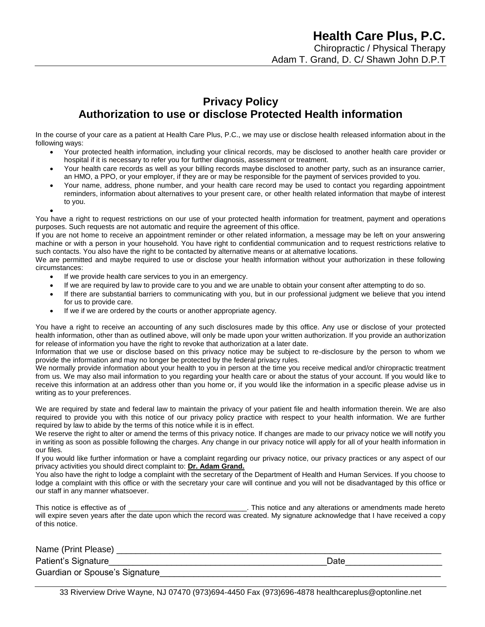### **Privacy Policy Authorization to use or disclose Protected Health information**

In the course of your care as a patient at Health Care Plus, P.C., we may use or disclose health released information about in the following ways:

- Your protected health information, including your clinical records, may be disclosed to another health care provider or hospital if it is necessary to refer you for further diagnosis, assessment or treatment.
- Your health care records as well as your billing records maybe disclosed to another party, such as an insurance carrier, an HMO, a PPO, or your employer, if they are or may be responsible for the payment of services provided to you.
- Your name, address, phone number, and your health care record may be used to contact you regarding appointment reminders, information about alternatives to your present care, or other health related information that maybe of interest to you.
- $\bullet$ You have a right to request restrictions on our use of your protected health information for treatment, payment and operations purposes. Such requests are not automatic and require the agreement of this office.

If you are not home to receive an appointment reminder or other related information, a message may be left on your answering machine or with a person in your household. You have right to confidential communication and to request restrictions relative to such contacts. You also have the right to be contacted by alternative means or at alternative locations.

We are permitted and maybe required to use or disclose your health information without your authorization in these following circumstances:

- If we provide health care services to you in an emergency.
- If we are required by law to provide care to you and we are unable to obtain your consent after attempting to do so.
- If there are substantial barriers to communicating with you, but in our professional judgment we believe that you intend for us to provide care.
- If we if we are ordered by the courts or another appropriate agency.

You have a right to receive an accounting of any such disclosures made by this office. Any use or disclose of your protected health information, other than as outlined above, will only be made upon your written authorization. If you provide an authorization for release of information you have the right to revoke that authorization at a later date.

Information that we use or disclose based on this privacy notice may be subject to re-disclosure by the person to whom we provide the information and may no longer be protected by the federal privacy rules.

We normally provide information about your health to you in person at the time you receive medical and/or chiropractic treatment from us. We may also mail information to you regarding your health care or about the status of your account. If you would like to receive this information at an address other than you home or, if you would like the information in a specific please advise us in writing as to your preferences.

We are required by state and federal law to maintain the privacy of your patient file and health information therein. We are also required to provide you with this notice of our privacy policy practice with respect to your health information. We are further required by law to abide by the terms of this notice while it is in effect.

We reserve the right to alter or amend the terms of this privacy notice. If changes are made to our privacy notice we will notify you in writing as soon as possible following the charges. Any change in our privacy notice will apply for all of your health information in our files.

If you would like further information or have a complaint regarding our privacy notice, our privacy practices or any aspect of our privacy activities you should direct complaint to: **Dr. Adam Grand.**

You also have the right to lodge a complaint with the secretary of the Department of Health and Human Services. If you choose to lodge a complaint with this office or with the secretary your care will continue and you will not be disadvantaged by this office or our staff in any manner whatsoever.

This notice is effective as of \_\_\_\_\_\_\_\_\_\_\_\_\_\_\_\_\_\_\_\_\_\_\_\_\_\_\_\_\_\_\_\_. This notice and any alterations or amendments made hereto will expire seven years after the date upon which the record was created. My signature acknowledge that I have received a copy of this notice.

Name (Print Please) \_\_\_\_\_\_\_\_\_\_\_\_\_\_\_\_\_\_\_\_\_\_\_\_\_\_\_\_\_\_\_\_\_\_\_\_\_\_\_\_\_\_\_\_\_\_\_\_\_\_\_\_\_\_\_\_\_\_\_\_\_\_\_\_\_\_\_ Patient's Signature et al. Allen the set of the set of the set of the set of the set of the set of the set of t Guardian or Spouse's Signature